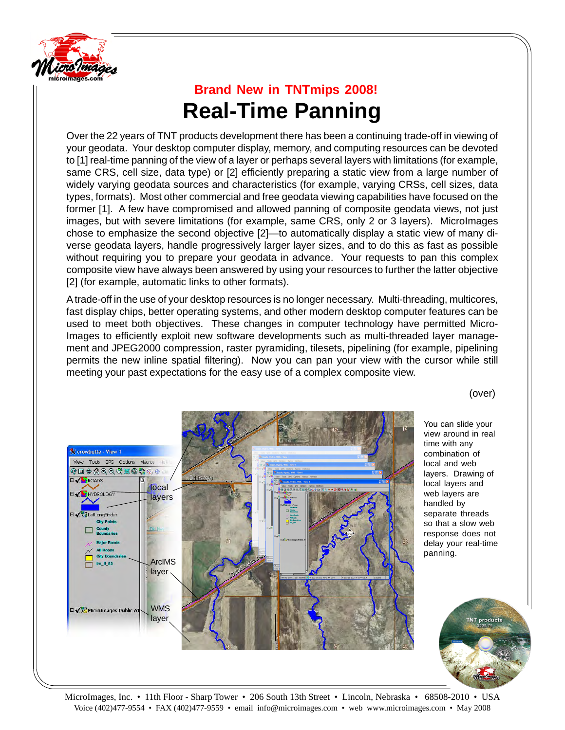

## **Brand New in TNTmips 2008! Real-Time Panning**

Over the 22 years of TNT products development there has been a continuing trade-off in viewing of your geodata. Your desktop computer display, memory, and computing resources can be devoted to [1] real-time panning of the view of a layer or perhaps several layers with limitations (for example, same CRS, cell size, data type) or [2] efficiently preparing a static view from a large number of widely varying geodata sources and characteristics (for example, varying CRSs, cell sizes, data types, formats). Most other commercial and free geodata viewing capabilities have focused on the former [1]. A few have compromised and allowed panning of composite geodata views, not just images, but with severe limitations (for example, same CRS, only 2 or 3 layers). MicroImages chose to emphasize the second objective [2]—to automatically display a static view of many diverse geodata layers, handle progressively larger layer sizes, and to do this as fast as possible without requiring you to prepare your geodata in advance. Your requests to pan this complex composite view have always been answered by using your resources to further the latter objective [2] (for example, automatic links to other formats).

A trade-off in the use of your desktop resources is no longer necessary. Multi-threading, multicores, fast display chips, better operating systems, and other modern desktop computer features can be used to meet both objectives. These changes in computer technology have permitted Micro-Images to efficiently exploit new software developments such as multi-threaded layer management and JPEG2000 compression, raster pyramiding, tilesets, pipelining (for example, pipelining permits the new inline spatial filtering). Now you can pan your view with the cursor while still meeting your past expectations for the easy use of a complex composite view.



(over)

You can slide your view around in real time with any combination of local and web layers. Drawing of local layers and web layers are handled by separate threads so that a slow web response does not delay your real-time panning.